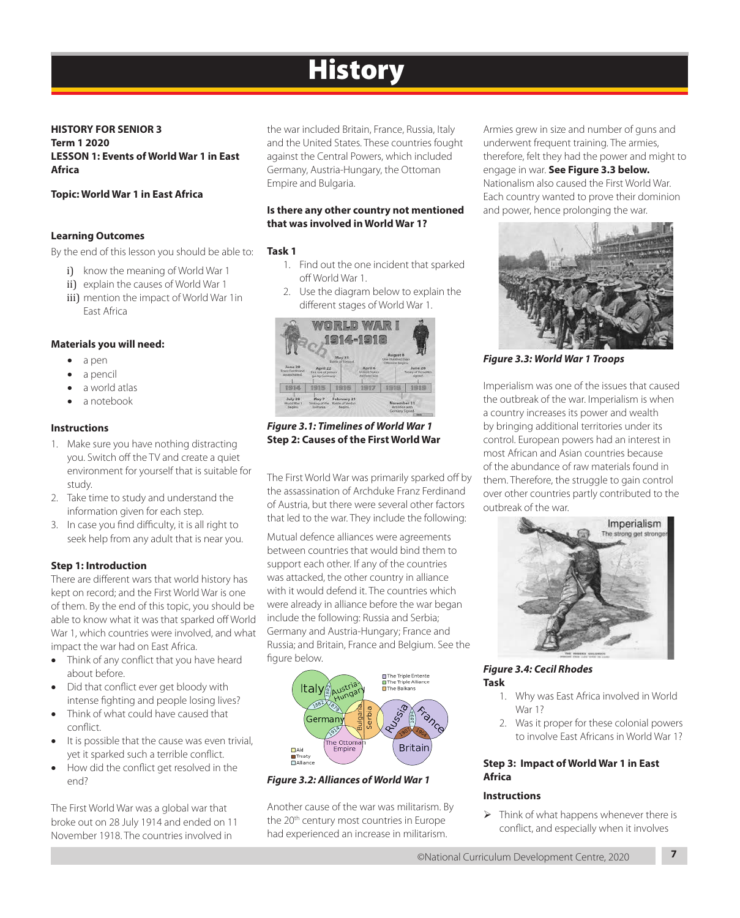# **History**

**HISTORY FOR SENIOR 3 Term 1 2020 LESSON 1: Events of World War 1 in East Africa**

#### **Topic: World War 1 in East Africa**

#### **Learning Outcomes**

By the end of this lesson you should be able to:

- i) know the meaning of World War 1
- ii) explain the causes of World War 1
- iii) mention the impact of World War 1in East Africa

#### **Materials you will need:**

- a pen
- a pencil
- a world atlas
- a notebook

#### **Instructions**

- 1. Make sure you have nothing distracting you. Switch off the TV and create a quiet environment for yourself that is suitable for study.
- 2. Take time to study and understand the information given for each step.
- 3. In case you find difficulty, it is all right to seek help from any adult that is near you.

#### **Step 1: Introduction**

There are different wars that world history has kept on record; and the First World War is one of them. By the end of this topic, you should be able to know what it was that sparked off World War 1, which countries were involved, and what impact the war had on East Africa.

- Think of any conflict that you have heard about before.
- Did that conflict ever get bloody with intense fighting and people losing lives?
- Think of what could have caused that conflict.
- It is possible that the cause was even trivial, yet it sparked such a terrible conflict.
- How did the conflict get resolved in the end?

The First World War was a global war that broke out on 28 July 1914 and ended on 11 November 1918. The countries involved in

the war included Britain, France, Russia, Italy and the United States. These countries fought against the Central Powers, which included Germany, Austria-Hungary, the Ottoman Empire and Bulgaria.

#### **Is there any other country not mentioned that was involved in World War 1?**

#### **Task 1**

- 1. Find out the one incident that sparked off World War 1.
- 2. Use the diagram below to explain the different stages of World War 1.



*Figure 3.1: Timelines of World War 1* **Step 2: Causes of the First World War**

The First World War was primarily sparked off by the assassination of Archduke Franz Ferdinand of Austria, but there were several other factors that led to the war. They include the following:

Mutual defence alliances were agreements between countries that would bind them to support each other. If any of the countries was attacked, the other country in alliance with it would defend it. The countries which were already in alliance before the war began include the following: Russia and Serbia; Germany and Austria-Hungary; France and Russia; and Britain, France and Belgium. See the figure below.



#### *Figure 3.2: Alliances of World War 1*

Another cause of the war was militarism. By the 20<sup>th</sup> century most countries in Europe had experienced an increase in militarism.

Armies grew in size and number of guns and underwent frequent training. The armies, therefore, felt they had the power and might to engage in war. **See Figure 3.3 below.**  Nationalism also caused the First World War. Each country wanted to prove their dominion and power, hence prolonging the war.



*Figure 3.3: World War 1 Troops*

Imperialism was one of the issues that caused the outbreak of the war. Imperialism is when a country increases its power and wealth by bringing additional territories under its control. European powers had an interest in most African and Asian countries because of the abundance of raw materials found in them. Therefore, the struggle to gain control over other countries partly contributed to the outbreak of the war.



#### *Figure 3.4: Cecil Rhodes* **Task**

- 1. Why was East Africa involved in World War 1?
- 2. Was it proper for these colonial powers to involve East Africans in World War 1?

#### **Step 3: Impact of World War 1 in East Africa**

#### **Instructions**

 $\triangleright$  Think of what happens whenever there is conflict, and especially when it involves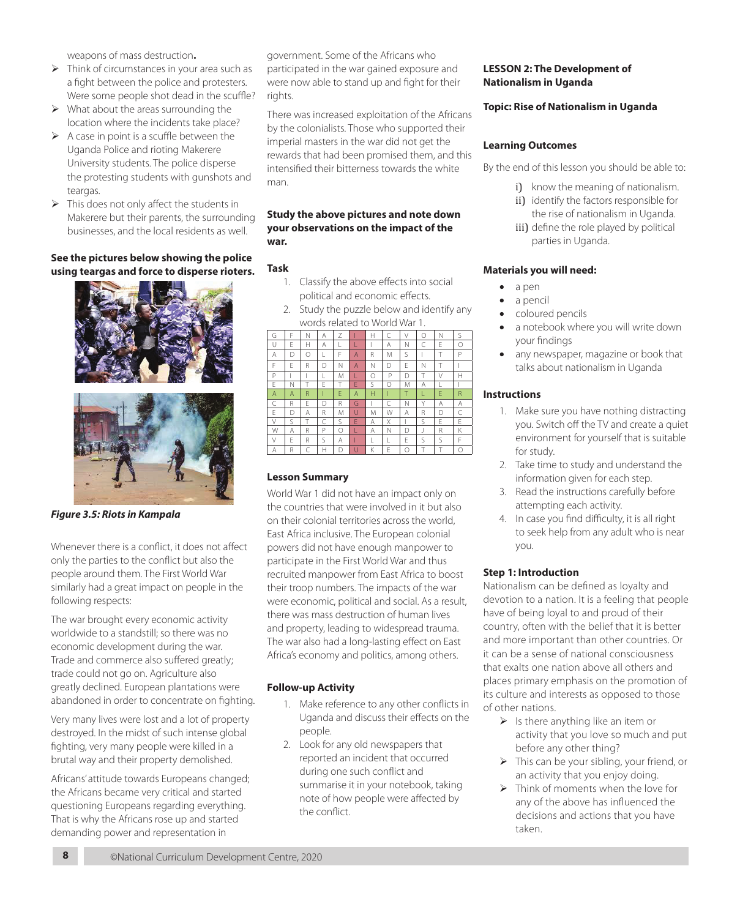weapons of mass destruction**.**

- $\triangleright$  Think of circumstances in your area such as a fight between the police and protesters. Were some people shot dead in the scuffle?
- $\triangleright$  What about the areas surrounding the location where the incidents take place?
- $\triangleright$  A case in point is a scuffle between the Uganda Police and rioting Makerere University students. The police disperse the protesting students with gunshots and teargas.
- $\triangleright$  This does not only affect the students in Makerere but their parents, the surrounding businesses, and the local residents as well.

#### **See the pictures below showing the police using teargas and force to disperse rioters.**

![](_page_1_Picture_6.jpeg)

*Figure 3.5: Riots in Kampala* 

Whenever there is a conflict, it does not affect only the parties to the conflict but also the people around them. The First World War similarly had a great impact on people in the following respects:

The war brought every economic activity worldwide to a standstill; so there was no economic development during the war. Trade and commerce also suffered greatly; trade could not go on. Agriculture also greatly declined. European plantations were abandoned in order to concentrate on fighting.

Very many lives were lost and a lot of property destroyed. In the midst of such intense global fighting, very many people were killed in a brutal way and their property demolished.

Africans' attitude towards Europeans changed; the Africans became very critical and started questioning Europeans regarding everything. That is why the Africans rose up and started demanding power and representation in

government. Some of the Africans who participated in the war gained exposure and were now able to stand up and fight for their rights.

There was increased exploitation of the Africans by the colonialists. Those who supported their imperial masters in the war did not get the rewards that had been promised them, and this intensified their bitterness towards the white man.

#### **Study the above pictures and note down your observations on the impact of the war.**

### **Task**

- 1. Classify the above effects into social political and economic effects.
- 2. Study the puzzle below and identify any words related to World War 1.

![](_page_1_Picture_18.jpeg)

# **Lesson Summary**

World War 1 did not have an impact only on the countries that were involved in it but also on their colonial territories across the world, East Africa inclusive. The European colonial powers did not have enough manpower to participate in the First World War and thus recruited manpower from East Africa to boost their troop numbers. The impacts of the war were economic, political and social. As a result, there was mass destruction of human lives and property, leading to widespread trauma. The war also had a long-lasting effect on East Africa's economy and politics, among others.

# **Follow-up Activity**

- 1. Make reference to any other conflicts in Uganda and discuss their effects on the people.
- 2. Look for any old newspapers that reported an incident that occurred during one such conflict and summarise it in your notebook, taking note of how people were affected by the conflict.

## **LESSON 2: The Development of Nationalism in Uganda**

## **Topic: Rise of Nationalism in Uganda**

#### **Learning Outcomes**

By the end of this lesson you should be able to:

- i) know the meaning of nationalism.
- ii) identify the factors responsible for the rise of nationalism in Uganda.
- iii) define the role played by political parties in Uganda.

## **Materials you will need:**

- • a pen
- a pencil
- coloured pencils
- a notebook where you will write down your findings
- any newspaper, magazine or book that talks about nationalism in Uganda

## **Instructions**

- 1. Make sure you have nothing distracting you. Switch off the TV and create a quiet environment for yourself that is suitable for study.
- 2. Take time to study and understand the information given for each step.
- 3. Read the instructions carefully before attempting each activity.
- 4. In case you find difficulty, it is all right to seek help from any adult who is near you.

### **Step 1: Introduction**

Nationalism can be defined as loyalty and devotion to a nation. It is a feeling that people have of being loyal to and proud of their country, often with the belief that it is better and more important than other countries. Or it can be a sense of national consciousness that exalts one nation above all others and places primary emphasis on the promotion of its culture and interests as opposed to those of other nations.

- $\triangleright$  Is there anything like an item or activity that you love so much and put before any other thing?
- $\triangleright$  This can be your sibling, your friend, or an activity that you enjoy doing.
- $\triangleright$  Think of moments when the love for any of the above has influenced the decisions and actions that you have taken.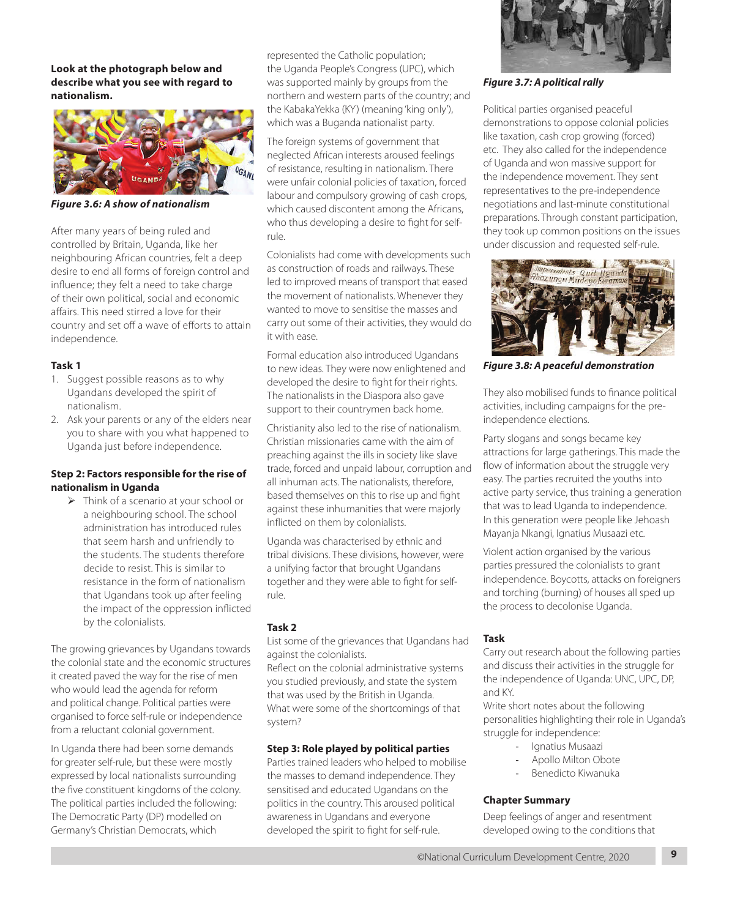**Look at the photograph below and describe what you see with regard to nationalism.**

![](_page_2_Picture_1.jpeg)

*Figure 3.6: A show of nationalism*

After many years of being ruled and controlled by Britain, Uganda, like her neighbouring African countries, felt a deep desire to end all forms of foreign control and influence; they felt a need to take charge of their own political, social and economic affairs. This need stirred a love for their country and set off a wave of efforts to attain independence.

### **Task 1**

- 1. Suggest possible reasons as to why Ugandans developed the spirit of nationalism.
- 2. Ask your parents or any of the elders near you to share with you what happened to Uganda just before independence.

#### **Step 2: Factors responsible for the rise of nationalism in Uganda**

 $\triangleright$  Think of a scenario at your school or a neighbouring school. The school administration has introduced rules that seem harsh and unfriendly to the students. The students therefore decide to resist. This is similar to resistance in the form of nationalism that Ugandans took up after feeling the impact of the oppression inflicted by the colonialists.

The growing grievances by Ugandans towards the colonial state and the economic structures it created paved the way for the rise of men who would lead the agenda for reform and political change. Political parties were organised to force self-rule or independence from a reluctant colonial government.

In Uganda there had been some demands for greater self-rule, but these were mostly expressed by local nationalists surrounding the five constituent kingdoms of the colony. The political parties included the following: The Democratic Party (DP) modelled on Germany's Christian Democrats, which

represented the Catholic population; the Uganda People's Congress (UPC), which was supported mainly by groups from the northern and western parts of the country; and the KabakaYekka (KY) (meaning 'king only'), which was a Buganda nationalist party.

The foreign systems of government that neglected African interests aroused feelings of resistance, resulting in nationalism. There were unfair colonial policies of taxation, forced labour and compulsory growing of cash crops, which caused discontent among the Africans, who thus developing a desire to fight for selfrule.

Colonialists had come with developments such as construction of roads and railways. These led to improved means of transport that eased the movement of nationalists. Whenever they wanted to move to sensitise the masses and carry out some of their activities, they would do it with ease.

Formal education also introduced Ugandans to new ideas. They were now enlightened and developed the desire to fight for their rights. The nationalists in the Diaspora also gave support to their countrymen back home.

Christianity also led to the rise of nationalism. Christian missionaries came with the aim of preaching against the ills in society like slave trade, forced and unpaid labour, corruption and all inhuman acts. The nationalists, therefore, based themselves on this to rise up and fight against these inhumanities that were majorly inflicted on them by colonialists.

Uganda was characterised by ethnic and tribal divisions. These divisions, however, were a unifying factor that brought Ugandans together and they were able to fight for selfrule.

### **Task 2**

List some of the grievances that Ugandans had against the colonialists.

Reflect on the colonial administrative systems you studied previously, and state the system that was used by the British in Uganda. What were some of the shortcomings of that system?

#### **Step 3: Role played by political parties**

Parties trained leaders who helped to mobilise the masses to demand independence. They sensitised and educated Ugandans on the politics in the country. This aroused political awareness in Ugandans and everyone developed the spirit to fight for self-rule.

![](_page_2_Picture_22.jpeg)

*Figure 3.7: A political rally*

Political parties organised peaceful demonstrations to oppose colonial policies like taxation, cash crop growing (forced) etc. They also called for the independence of Uganda and won massive support for the independence movement. They sent representatives to the pre-independence negotiations and last-minute constitutional preparations. Through constant participation, they took up common positions on the issues under discussion and requested self-rule.

![](_page_2_Picture_25.jpeg)

*Figure 3.8: A peaceful demonstration*

They also mobilised funds to finance political activities, including campaigns for the preindependence elections.

Party slogans and songs became key attractions for large gatherings. This made the flow of information about the struggle very easy. The parties recruited the youths into active party service, thus training a generation that was to lead Uganda to independence. In this generation were people like Jehoash Mayanja Nkangi, Ignatius Musaazi etc.

Violent action organised by the various parties pressured the colonialists to grant independence. Boycotts, attacks on foreigners and torching (burning) of houses all sped up the process to decolonise Uganda.

### **Task**

Carry out research about the following parties and discuss their activities in the struggle for the independence of Uganda: UNC, UPC, DP, and KY.

Write short notes about the following personalities highlighting their role in Uganda's struggle for independence:

- Ignatius Musaazi
- Apollo Milton Obote
- Benedicto Kiwanuka

### **Chapter Summary**

Deep feelings of anger and resentment developed owing to the conditions that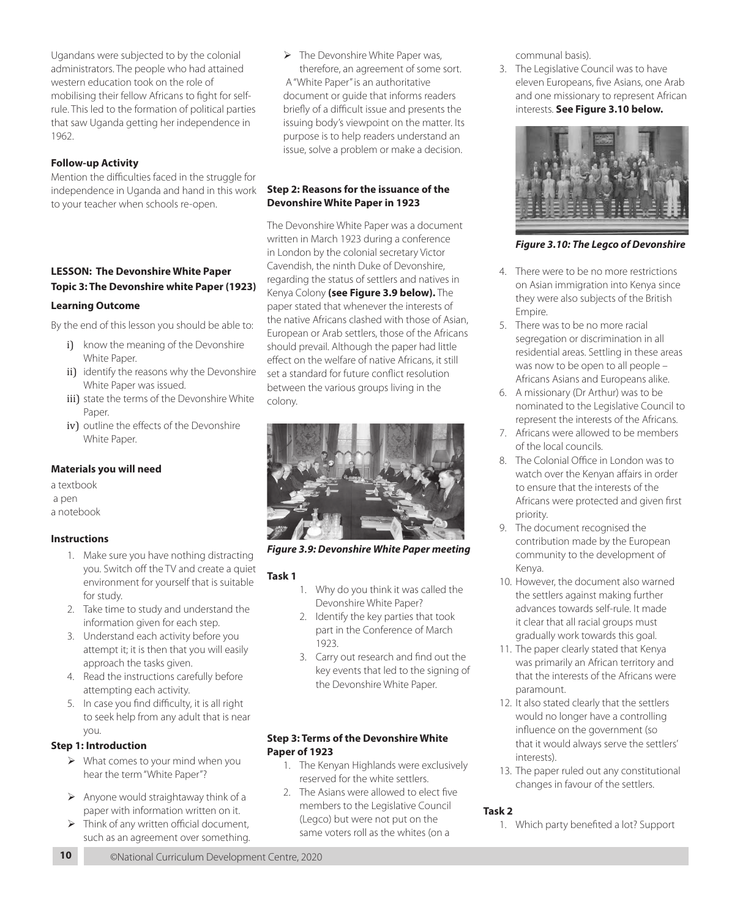Ugandans were subjected to by the colonial administrators. The people who had attained western education took on the role of mobilising their fellow Africans to fight for selfrule. This led to the formation of political parties that saw Uganda getting her independence in 1962.

## **Follow-up Activity**

Mention the difficulties faced in the struggle for independence in Uganda and hand in this work to your teacher when schools re-open.

# **LESSON: The Devonshire White Paper Topic 3: The Devonshire white Paper (1923)**

### **Learning Outcome**

By the end of this lesson you should be able to:

- i) know the meaning of the Devonshire White Paper.
- ii) identify the reasons why the Devonshire White Paper was issued.
- iii) state the terms of the Devonshire White Paper.
- iv) outline the effects of the Devonshire White Paper.

### **Materials you will need**

a textbook

a pen

a notebook

### **Instructions**

- 1. Make sure you have nothing distracting you. Switch off the TV and create a quiet environment for yourself that is suitable for study.
- 2. Take time to study and understand the information given for each step.
- 3. Understand each activity before you attempt it; it is then that you will easily approach the tasks given.
- 4. Read the instructions carefully before attempting each activity.
- 5. In case you find difficulty, it is all right to seek help from any adult that is near you.

# **Step 1: Introduction**

- $\triangleright$  What comes to your mind when you hear the term "White Paper"?
- $\triangleright$  Anyone would straightaway think of a paper with information written on it.
- $\triangleright$  Think of any written official document, such as an agreement over something.

 $\triangleright$  The Devonshire White Paper was, therefore, an agreement of some sort. A "White Paper" is an authoritative document or guide that informs readers briefly of a difficult issue and presents the issuing body's viewpoint on the matter. Its purpose is to help readers understand an issue, solve a problem or make a decision.

## **Step 2: Reasons for the issuance of the Devonshire White Paper in 1923**

The Devonshire White Paper was a document written in March 1923 during a conference in London by the colonial secretary Victor Cavendish, the ninth Duke of Devonshire, regarding the status of settlers and natives in Kenya Colony **(see Figure 3.9 below).** The paper stated that whenever the interests of the native Africans clashed with those of Asian, European or Arab settlers, those of the Africans should prevail. Although the paper had little effect on the welfare of native Africans, it still set a standard for future conflict resolution between the various groups living in the colony.

![](_page_3_Picture_27.jpeg)

*Figure 3.9: Devonshire White Paper meeting*

### **Task 1**

- 1. Why do you think it was called the Devonshire White Paper?
- 2. Identify the key parties that took part in the Conference of March 1923.
- 3. Carry out research and find out the key events that led to the signing of the Devonshire White Paper.

## **Step 3: Terms of the Devonshire White Paper of 1923**

- 1. The Kenyan Highlands were exclusively reserved for the white settlers.
- 2. The Asians were allowed to elect five members to the Legislative Council (Legco) but were not put on the same voters roll as the whites (on a

communal basis).

3. The Legislative Council was to have eleven Europeans, five Asians, one Arab and one missionary to represent African interests. **See Figure 3.10 below.**

![](_page_3_Picture_38.jpeg)

*Figure 3.10: The Legco of Devonshire*

- 4. There were to be no more restrictions on Asian immigration into Kenya since they were also subjects of the British Empire.
- 5. There was to be no more racial segregation or discrimination in all residential areas. Settling in these areas was now to be open to all people – Africans Asians and Europeans alike.
- 6. A missionary (Dr Arthur) was to be nominated to the Legislative Council to represent the interests of the Africans.
- 7. Africans were allowed to be members of the local councils.
- 8. The Colonial Office in London was to watch over the Kenyan affairs in order to ensure that the interests of the Africans were protected and given first priority.
- 9. The document recognised the contribution made by the European community to the development of Kenya.
- 10. However, the document also warned the settlers against making further advances towards self-rule. It made it clear that all racial groups must gradually work towards this goal.
- 11. The paper clearly stated that Kenya was primarily an African territory and that the interests of the Africans were paramount.
- 12. It also stated clearly that the settlers would no longer have a controlling influence on the government (so that it would always serve the settlers' interests).
- 13. The paper ruled out any constitutional changes in favour of the settlers.

# **Task 2**

1. Which party benefited a lot? Support